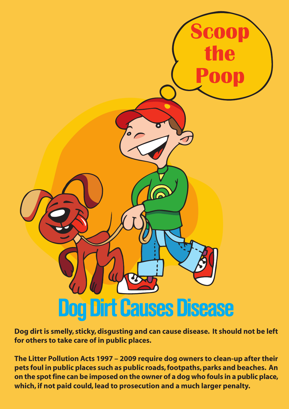

**Dog dirt is smelly, sticky,disgusting and can cause disease. It should not be left for others to take care of in public places.**

**The Litter Pollution Acts 1997 – 2009 require dog owners to clean-up after their pets foul in public places such as public roads,footpaths,parks and beaches. An on the spotfine can be imposed on the owner of a dog who fouls in a public place, which, if not paid could, lead to prosecution and a much larger penalty.**